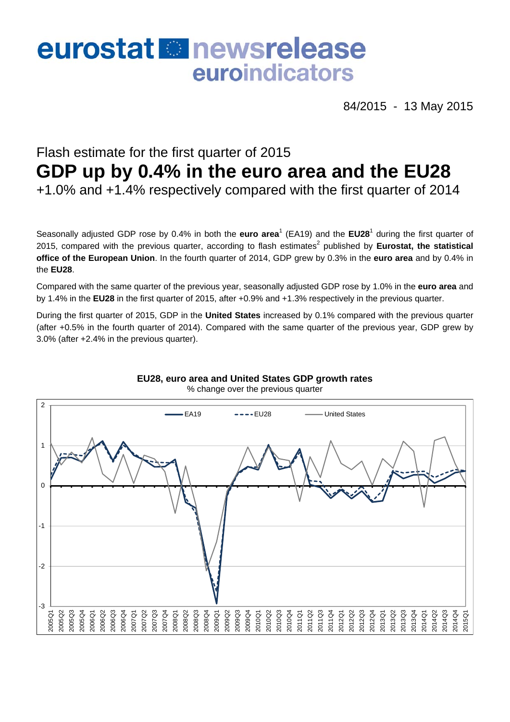## eurostat **B**newsrelease euroindicators

84/2015 - 13 May 2015

## Flash estimate for the first quarter of 2015 **GDP up by 0.4% in the euro area and the EU28**  +1.0% and +1.4% respectively compared with the first quarter of 2014

Seasonally adjusted GDP rose by 0.4% in both the **euro area<sup>1</sup> (EA19)** and the **EU28<sup>1</sup>** during the first quarter of 2015, compared with the previous quarter, according to flash estimates<sup>2</sup> published by **Eurostat, the statistical office of the European Union**. In the fourth quarter of 2014, GDP grew by 0.3% in the **euro area** and by 0.4% in the **EU28**.

Compared with the same quarter of the previous year, seasonally adjusted GDP rose by 1.0% in the **euro area** and by 1.4% in the **EU28** in the first quarter of 2015, after +0.9% and +1.3% respectively in the previous quarter.

During the first quarter of 2015, GDP in the **United States** increased by 0.1% compared with the previous quarter (after +0.5% in the fourth quarter of 2014). Compared with the same quarter of the previous year, GDP grew by 3.0% (after +2.4% in the previous quarter).



**EU28, euro area and United States GDP growth rates**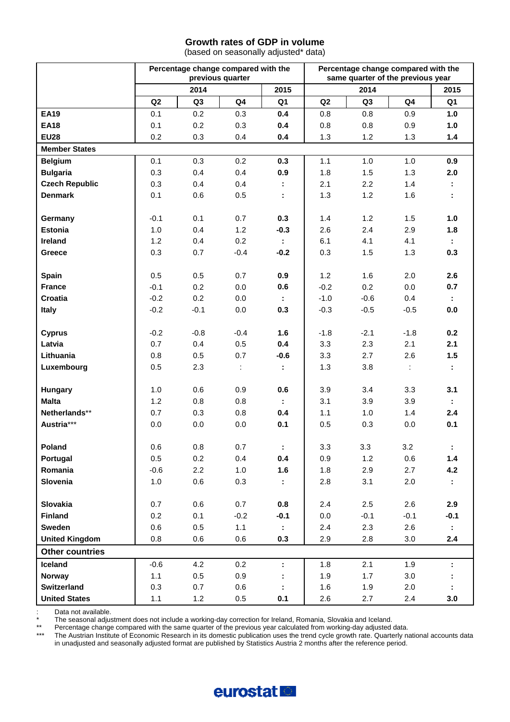## **Growth rates of GDP in volume**

(based on seasonally adjusted\* data)

|                         | Percentage change compared with the<br>previous quarter |                |                      |                | Percentage change compared with the<br>same quarter of the previous year |                |                             |           |
|-------------------------|---------------------------------------------------------|----------------|----------------------|----------------|--------------------------------------------------------------------------|----------------|-----------------------------|-----------|
|                         | 2014                                                    |                | 2015                 |                | 2014                                                                     |                | 2015                        |           |
|                         | Q2                                                      | Q <sub>3</sub> | Q <sub>4</sub>       | Q <sub>1</sub> | Q2                                                                       | Q <sub>3</sub> | Q <sub>4</sub>              | Q1        |
| <b>EA19</b>             | 0.1                                                     | 0.2            | 0.3                  | 0.4            | 0.8                                                                      | 0.8            | 0.9                         | 1.0       |
| <b>EA18</b>             | 0.1                                                     | 0.2            | 0.3                  | 0.4            | 0.8                                                                      | 0.8            | 0.9                         | 1.0       |
| <b>EU28</b>             | 0.2                                                     | 0.3            | 0.4                  | 0.4            | 1.3                                                                      | 1.2            | 1.3                         | 1.4       |
| <b>Member States</b>    |                                                         |                |                      |                |                                                                          |                |                             |           |
| <b>Belgium</b>          | 0.1                                                     | 0.3            | 0.2                  | 0.3            | 1.1                                                                      | 1.0            | 1.0                         | 0.9       |
| <b>Bulgaria</b>         | 0.3                                                     | 0.4            | 0.4                  | 0.9            | 1.8                                                                      | 1.5            | 1.3                         | 2.0       |
| <b>Czech Republic</b>   | 0.3                                                     | 0.4            | 0.4                  |                | 2.1                                                                      | 2.2            | 1.4                         |           |
| <b>Denmark</b>          | 0.1                                                     | 0.6            | 0.5                  | ÷              | 1.3                                                                      | 1.2            | 1.6                         |           |
|                         |                                                         |                |                      |                |                                                                          |                |                             |           |
| Germany                 | $-0.1$                                                  | 0.1            | 0.7                  | 0.3            | 1.4                                                                      | 1.2            | 1.5                         | 1.0       |
| <b>Estonia</b>          | 1.0                                                     | 0.4            | $1.2$                | $-0.3$         | 2.6                                                                      | 2.4            | 2.9                         | 1.8       |
| Ireland                 | 1.2                                                     | 0.4            | 0.2                  |                | 6.1                                                                      | 4.1            | 4.1                         |           |
| Greece                  | 0.3                                                     | 0.7            | $-0.4$               | $-0.2$         | 0.3                                                                      | 1.5            | 1.3                         | 0.3       |
|                         |                                                         |                |                      |                |                                                                          |                |                             |           |
| Spain                   | 0.5                                                     | 0.5            | 0.7                  | 0.9            | 1.2                                                                      | 1.6            | 2.0                         | 2.6       |
| <b>France</b>           | $-0.1$                                                  | 0.2            | 0.0                  | 0.6            | $-0.2$                                                                   | 0.2            | 0.0                         | 0.7       |
| Croatia                 | $-0.2$                                                  | 0.2            | 0.0                  | ÷.             | $-1.0$                                                                   | $-0.6$         | 0.4                         | ÷.        |
| Italy                   | $-0.2$                                                  | $-0.1$         | 0.0                  | 0.3            | $-0.3$                                                                   | $-0.5$         | $-0.5$                      | 0.0       |
|                         |                                                         |                |                      |                |                                                                          |                |                             |           |
| <b>Cyprus</b>           | $-0.2$                                                  | $-0.8$         | $-0.4$               | 1.6            | $-1.8$                                                                   | $-2.1$         | $-1.8$                      | 0.2       |
| Latvia                  | 0.7                                                     | 0.4            | 0.5                  | 0.4            | 3.3                                                                      | 2.3            | 2.1                         | 2.1       |
| Lithuania               | 0.8                                                     | 0.5            | 0.7                  | $-0.6$         | 3.3                                                                      | 2.7            | 2.6                         | 1.5       |
| Luxembourg              | 0.5                                                     | 2.3            | $\ddot{\phantom{a}}$ | ÷.             | 1.3                                                                      | 3.8            | $\mathcal{I}^{\mathcal{I}}$ | ÷.        |
|                         | 1.0                                                     | 0.6            | 0.9                  | 0.6            | 3.9                                                                      | 3.4            | 3.3                         | 3.1       |
| Hungary<br><b>Malta</b> | 1.2                                                     | 0.8            | 0.8                  |                | 3.1                                                                      | 3.9            | 3.9                         |           |
| Netherlands**           | 0.7                                                     | 0.3            | 0.8                  | ÷.<br>0.4      | 1.1                                                                      | 1.0            | 1.4                         | ÷.<br>2.4 |
| Austria***              | 0.0                                                     | 0.0            | 0.0                  | 0.1            | 0.5                                                                      | 0.3            | 0.0                         | 0.1       |
|                         |                                                         |                |                      |                |                                                                          |                |                             |           |
| Poland                  | $0.6\,$                                                 | $0.8\,$        | 0.7                  | ÷              | 3.3                                                                      | 3.3            | 3.2                         |           |
| Portugal                | 0.5                                                     | 0.2            | 0.4                  | 0.4            | 0.9                                                                      | 1.2            | 0.6                         | 1.4       |
| Romania                 | $-0.6$                                                  | 2.2            | 1.0                  | 1.6            | 1.8                                                                      | 2.9            | 2.7                         | 4.2       |
| Slovenia                | 1.0                                                     | 0.6            | 0.3                  |                | 2.8                                                                      | 3.1            | 2.0                         |           |
|                         |                                                         |                |                      |                |                                                                          |                |                             |           |
| Slovakia                | 0.7                                                     | 0.6            | 0.7                  | 0.8            | 2.4                                                                      | 2.5            | 2.6                         | 2.9       |
| <b>Finland</b>          | 0.2                                                     | 0.1            | $-0.2$               | $-0.1$         | 0.0                                                                      | $-0.1$         | $-0.1$                      | $-0.1$    |
| Sweden                  | 0.6                                                     | 0.5            | 1.1                  | ÷.             | 2.4                                                                      | 2.3            | 2.6                         |           |
| <b>United Kingdom</b>   | 0.8                                                     | 0.6            | 0.6                  | 0.3            | 2.9                                                                      | 2.8            | 3.0                         | 2.4       |
| <b>Other countries</b>  |                                                         |                |                      |                |                                                                          |                |                             |           |
| Iceland                 | $-0.6$                                                  | 4.2            | 0.2                  | ÷.             | 1.8                                                                      | 2.1            | 1.9                         |           |
| Norway                  | 1.1                                                     | 0.5            | 0.9                  |                | 1.9                                                                      | 1.7            | 3.0                         |           |
| Switzerland             | 0.3                                                     | 0.7            | 0.6                  |                | 1.6                                                                      | 1.9            | 2.0                         |           |
| <b>United States</b>    | 1.1                                                     | 1.2            | $0.5\,$              | 0.1            | 2.6                                                                      | 2.7            | 2.4                         | 3.0       |

: Data not available.<br>\* The seasonal adjust

\* The seasonal adjustment does not include a working-day correction for Ireland, Romania, Slovakia and Iceland.<br>\*\* Percentage change compared with the same quarter of the previous vear calculated from working-day adjusted

\*\* Percentage change compared with the same quarter of the previous year calculated from working-day adjusted data.<br>\*\*\* The Austrian Institute of Economic Research in its domestic publication uses the trend cycle growth ra

The Austrian Institute of Economic Research in its domestic publication uses the trend cycle growth rate. Quarterly national accounts data in unadjusted and seasonally adjusted format are published by Statistics Austria 2 months after the reference period.